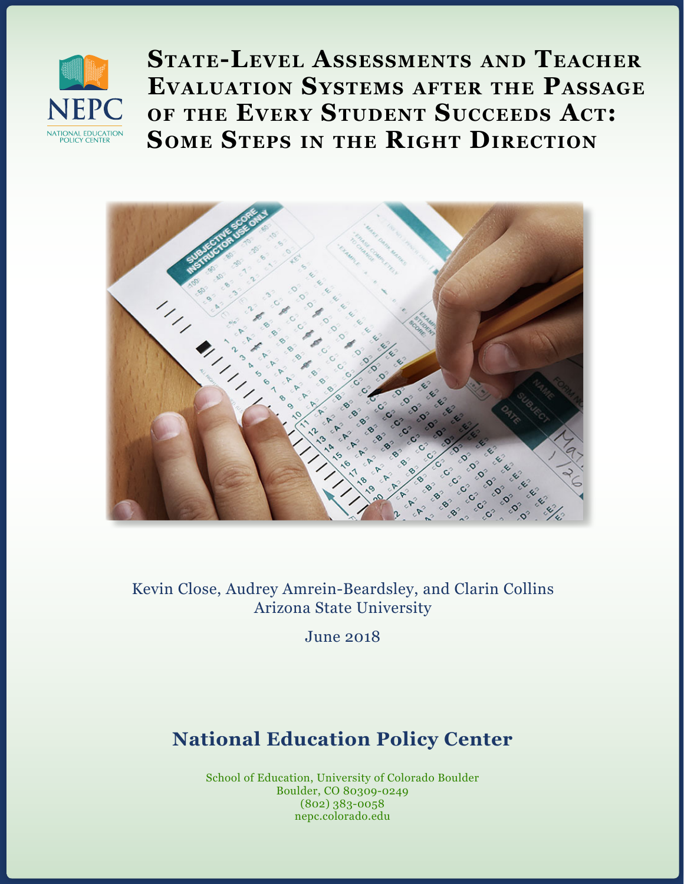

**State-Level Assessments and Teacher Evaluation Systems after the Passage of the Every Student Succeeds Act: Some Steps in the Right Direction**



Kevin Close, Audrey Amrein-Beardsley, and Clarin Collins Arizona State University

June 2018

# **National Education Policy Center**

School of Education, University of Colorado Boulder Boulder, CO 80309-0249 (802) 383-0058 nepc.colorado.edu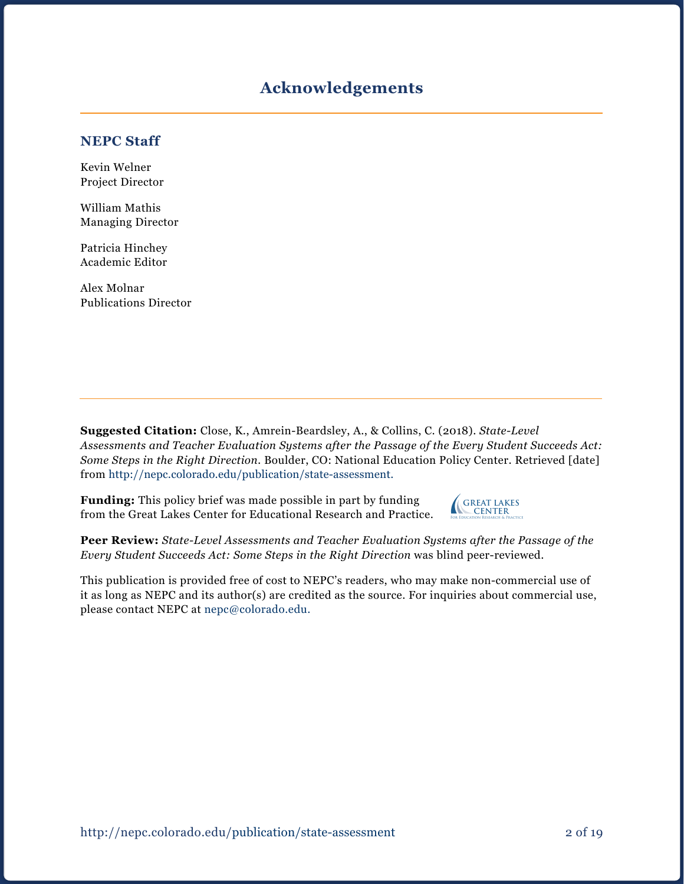## **Acknowledgements**

#### **NEPC Staff**

Kevin Welner Project Director

William Mathis Managing Director

Patricia Hinchey Academic Editor

Alex Molnar Publications Director

**Suggested Citation:** Close, K., Amrein-Beardsley, A., & Collins, C. (2018). *State-Level Assessments and Teacher Evaluation Systems after the Passage of the Every Student Succeeds Act: Some Steps in the Right Direction.* Boulder, CO: National Education Policy Center. Retrieved [date] from [http://nepc.colorado.edu/p](http://nepc.colorado.edu/publication/state-assessment)ublication/state-assessment.

**Funding:** This policy brief was made possible in part by funding from the Great Lakes Center for Educational Research and Practice.



**Peer Review:** *State-Level Assessments and Teacher Evaluation Systems after the Passage of the Every Student Succeeds Act: Some Steps in the Right Direction* was blind peer-reviewed.

This publication is provided free of cost to NEPC's readers, who may make non-commercial use of it as long as NEPC and its author(s) are credited as the source. For inquiries about commercial use, please contact NEPC at [nepc@colorado.edu](mailto:nepc@colorado.edu.).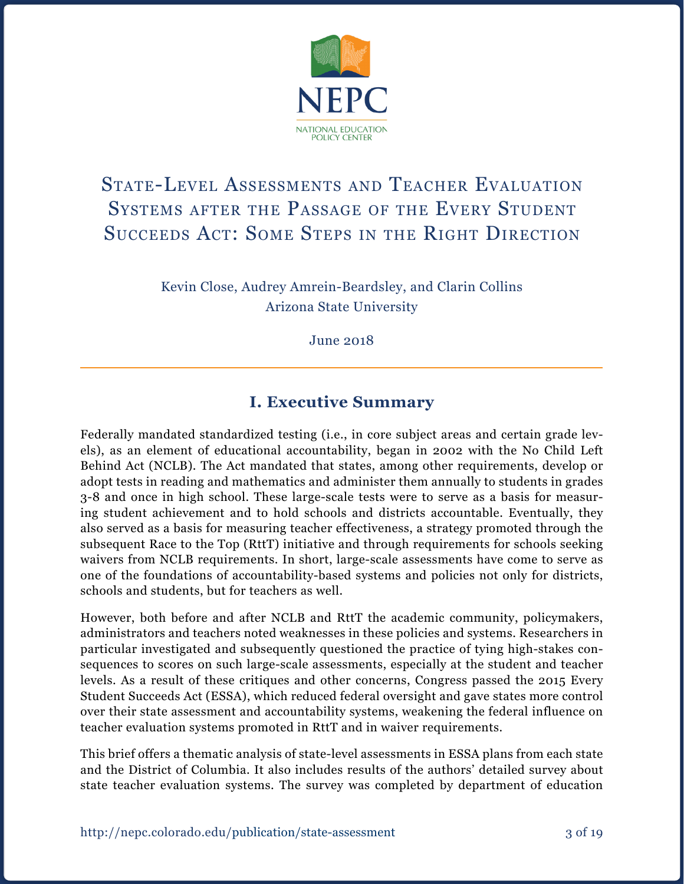

# State-Level Assessments and Teacher Evaluation SYSTEMS AFTER THE PASSAGE OF THE EVERY STUDENT SUCCEEDS ACT: SOME STEPS IN THE RIGHT DIRECTION

Kevin Close, Audrey Amrein-Beardsley, and Clarin Collins Arizona State University

June 2018

## **I. Executive Summary**

Federally mandated standardized testing (i.e., in core subject areas and certain grade levels), as an element of educational accountability, began in 2002 with the No Child Left Behind Act (NCLB). The Act mandated that states, among other requirements, develop or adopt tests in reading and mathematics and administer them annually to students in grades 3-8 and once in high school. These large-scale tests were to serve as a basis for measuring student achievement and to hold schools and districts accountable. Eventually, they also served as a basis for measuring teacher effectiveness, a strategy promoted through the subsequent Race to the Top (RttT) initiative and through requirements for schools seeking waivers from NCLB requirements. In short, large-scale assessments have come to serve as one of the foundations of accountability-based systems and policies not only for districts, schools and students, but for teachers as well.

However, both before and after NCLB and RttT the academic community, policymakers, administrators and teachers noted weaknesses in these policies and systems. Researchers in particular investigated and subsequently questioned the practice of tying high-stakes consequences to scores on such large-scale assessments, especially at the student and teacher levels. As a result of these critiques and other concerns, Congress passed the 2015 Every Student Succeeds Act (ESSA), which reduced federal oversight and gave states more control over their state assessment and accountability systems, weakening the federal influence on teacher evaluation systems promoted in RttT and in waiver requirements.

This brief offers a thematic analysis of state-level assessments in ESSA plans from each state and the District of Columbia. It also includes results of the authors' detailed survey about state teacher evaluation systems. The survey was completed by department of education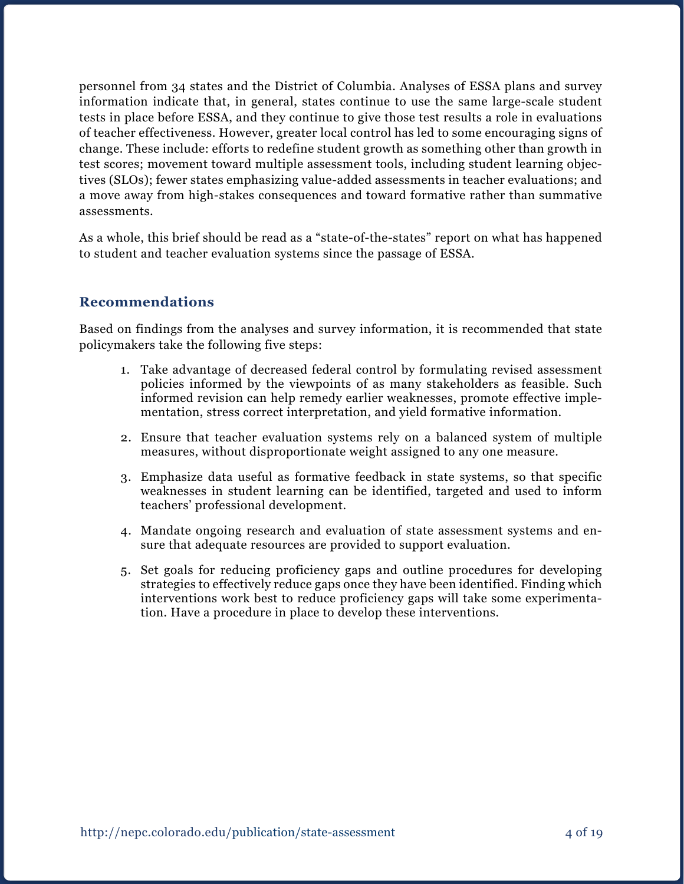personnel from 34 states and the District of Columbia. Analyses of ESSA plans and survey information indicate that, in general, states continue to use the same large-scale student tests in place before ESSA, and they continue to give those test results a role in evaluations of teacher effectiveness. However, greater local control has led to some encouraging signs of change. These include: efforts to redefine student growth as something other than growth in test scores; movement toward multiple assessment tools, including student learning objectives (SLOs); fewer states emphasizing value-added assessments in teacher evaluations; and a move away from high-stakes consequences and toward formative rather than summative assessments.

As a whole, this brief should be read as a "state-of-the-states" report on what has happened to student and teacher evaluation systems since the passage of ESSA.

#### **Recommendations**

Based on findings from the analyses and survey information, it is recommended that state policymakers take the following five steps:

- 1. Take advantage of decreased federal control by formulating revised assessment policies informed by the viewpoints of as many stakeholders as feasible. Such informed revision can help remedy earlier weaknesses, promote effective implementation, stress correct interpretation, and yield formative information.
- 2. Ensure that teacher evaluation systems rely on a balanced system of multiple measures, without disproportionate weight assigned to any one measure.
- 3. Emphasize data useful as formative feedback in state systems, so that specific weaknesses in student learning can be identified, targeted and used to inform teachers' professional development.
- 4. Mandate ongoing research and evaluation of state assessment systems and ensure that adequate resources are provided to support evaluation.
- 5. Set goals for reducing proficiency gaps and outline procedures for developing strategies to effectively reduce gaps once they have been identified. Finding which interventions work best to reduce proficiency gaps will take some experimentation. Have a procedure in place to develop these interventions.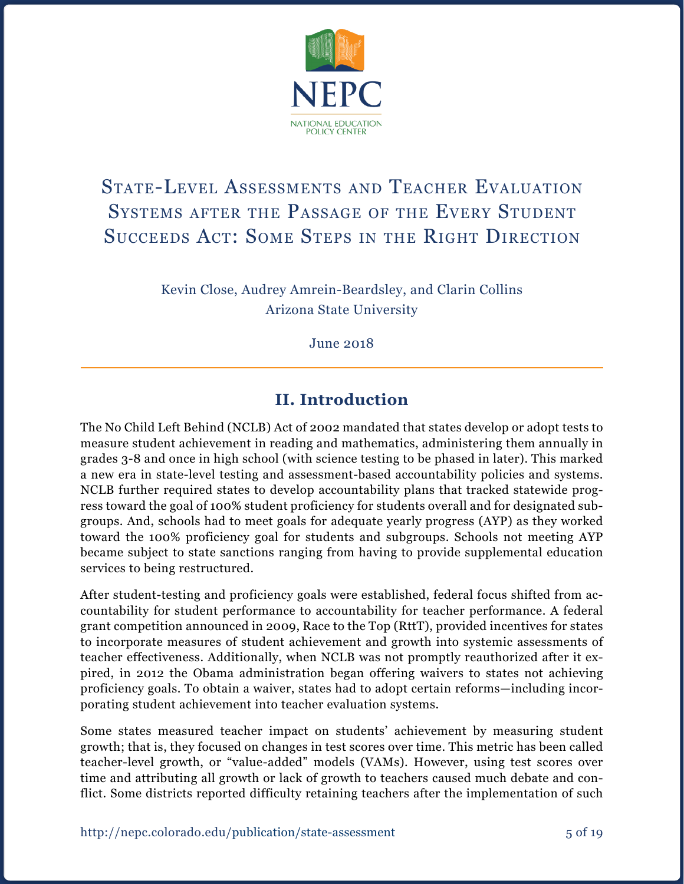

# State-Level Assessments and Teacher Evaluation Systems after the Passage of the Every Student SUCCEEDS ACT: SOME STEPS IN THE RIGHT DIRECTION

Kevin Close, Audrey Amrein-Beardsley, and Clarin Collins Arizona State University

June 2018

## **II. Introduction**

The No Child Left Behind (NCLB) Act of 2002 mandated that states develop or adopt tests to measure student achievement in reading and mathematics, administering them annually in grades 3-8 and once in high school (with science testing to be phased in later). This marked a new era in state-level testing and assessment-based accountability policies and systems. NCLB further required states to develop accountability plans that tracked statewide progress toward the goal of 100% student proficiency for students overall and for designated subgroups. And, schools had to meet goals for adequate yearly progress (AYP) as they worked toward the 100% proficiency goal for students and subgroups. Schools not meeting AYP became subject to state sanctions ranging from having to provide supplemental education services to being restructured.

After student-testing and proficiency goals were established, federal focus shifted from accountability for student performance to accountability for teacher performance. A federal grant competition announced in 2009, Race to the Top (RttT), provided incentives for states to incorporate measures of student achievement and growth into systemic assessments of teacher effectiveness. Additionally, when NCLB was not promptly reauthorized after it expired, in 2012 the Obama administration began offering waivers to states not achieving proficiency goals. To obtain a waiver, states had to adopt certain reforms—including incorporating student achievement into teacher evaluation systems.

Some states measured teacher impact on students' achievement by measuring student growth; that is, they focused on changes in test scores over time. This metric has been called teacher-level growth, or "value-added" models (VAMs). However, using test scores over time and attributing all growth or lack of growth to teachers caused much debate and conflict. Some districts reported difficulty retaining teachers after the implementation of such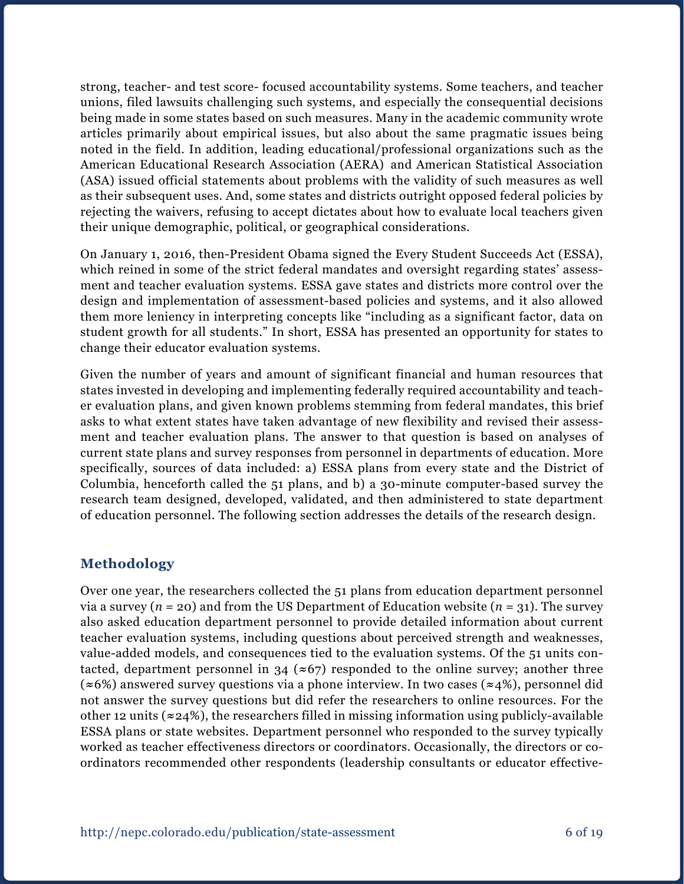strong, teacher- and test score- focused accountability systems. Some teachers, and teacher unions, filed lawsuits challenging such systems, and especially the consequential decisions being made in some states based on such measures. Many in the academic community wrote articles primarily about empirical issues, but also about the same pragmatic issues being noted in the field. In addition, leading educational/professional organizations such as the American Educational Research Association (AERA) and American Statistical Association (ASA) issued official statements about problems with the validity of such measures as well as their subsequent uses. And, some states and districts outright opposed federal policies by rejecting the waivers, refusing to accept dictates about how to evaluate local teachers given their unique demographic, political, or geographical considerations.

On January 1, 2016, then-President Obama signed the Every Student Succeeds Act (ESSA), which reined in some of the strict federal mandates and oversight regarding states' assessment and teacher evaluation systems. ESSA gave states and districts more control over the design and implementation of assessment-based policies and systems, and it also allowed them more leniency in interpreting concepts like "including as a significant factor, data on student growth for all students." In short, ESSA has presented an opportunity for states to change their educator evaluation systems.

Given the number of years and amount of significant financial and human resources that states invested in developing and implementing federally required accountability and teacher evaluation plans, and given known problems stemming from federal mandates, this brief asks to what extent states have taken advantage of new flexibility and revised their assessment and teacher evaluation plans. The answer to that question is based on analyses of current state plans and survey responses from personnel in departments of education. More specifically, sources of data included: a) ESSA plans from every state and the District of Columbia, henceforth called the 51 plans, and b) a 30-minute computer-based survey the research team designed, developed, validated, and then administered to state department of education personnel. The following section addresses the details of the research design.

#### **Methodology**

Over one year, the researchers collected the 51 plans from education department personnel via a survey ( $n = 20$ ) and from the US Department of Education website ( $n = 31$ ). The survey also asked education department personnel to provide detailed information about current teacher evaluation systems, including questions about perceived strength and weaknesses, value-added models, and consequences tied to the evaluation systems. Of the 51 units contacted, department personnel in 34 (**≈**67) responded to the online survey; another three (**≈**6%) answered survey questions via a phone interview. In two cases (**≈**4%), personnel did not answer the survey questions but did refer the researchers to online resources. For the other 12 units (**≈**24%), the researchers filled in missing information using publicly-available ESSA plans or state websites. Department personnel who responded to the survey typically worked as teacher effectiveness directors or coordinators. Occasionally, the directors or coordinators recommended other respondents (leadership consultants or educator effective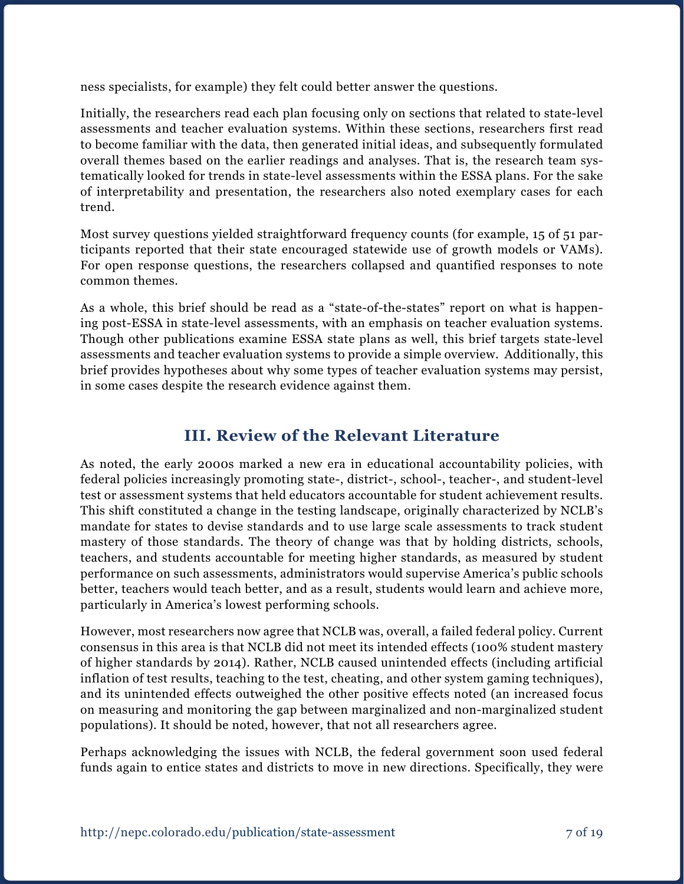ness specialists, for example) they felt could better answer the questions.

Initially, the researchers read each plan focusing only on sections that related to state-level assessments and teacher evaluation systems. Within these sections, researchers first read to become familiar with the data, then generated initial ideas, and subsequently formulated overall themes based on the earlier readings and analyses. That is, the research team systematically looked for trends in state-level assessments within the ESSA plans. For the sake of interpretability and presentation, the researchers also noted exemplary cases for each trend.

Most survey questions yielded straightforward frequency counts (for example, 15 of 51 participants reported that their state encouraged statewide use of growth models or VAMs). For open response questions, the researchers collapsed and quantified responses to note common themes.

As a whole, this brief should be read as a "state-of-the-states" report on what is happening post-ESSA in state-level assessments, with an emphasis on teacher evaluation systems. Though other publications examine ESSA state plans as well, this brief targets state-level assessments and teacher evaluation systems to provide a simple overview. Additionally, this brief provides hypotheses about why some types of teacher evaluation systems may persist, in some cases despite the research evidence against them.

## **III. Review of the Relevant Literature**

As noted, the early 2000s marked a new era in educational accountability policies, with federal policies increasingly promoting state-, district-, school-, teacher-, and student-level test or assessment systems that held educators accountable for student achievement results. This shift constituted a change in the testing landscape, originally characterized by NCLB's mandate for states to devise standards and to use large scale assessments to track student mastery of those standards. The theory of change was that by holding districts, schools, teachers, and students accountable for meeting higher standards, as measured by student performance on such assessments, administrators would supervise America's public schools better, teachers would teach better, and as a result, students would learn and achieve more, particularly in America's lowest performing schools.

However, most researchers now agree that NCLB was, overall, a failed federal policy. Current consensus in this area is that NCLB did not meet its intended effects (100% student mastery of higher standards by 2014). Rather, NCLB caused unintended effects (including artificial inflation of test results, teaching to the test, cheating, and other system gaming techniques), and its unintended effects outweighed the other positive effects noted (an increased focus on measuring and monitoring the gap between marginalized and non-marginalized student populations). It should be noted, however, that not all researchers agree.

Perhaps acknowledging the issues with NCLB, the federal government soon used federal funds again to entice states and districts to move in new directions. Specifically, they were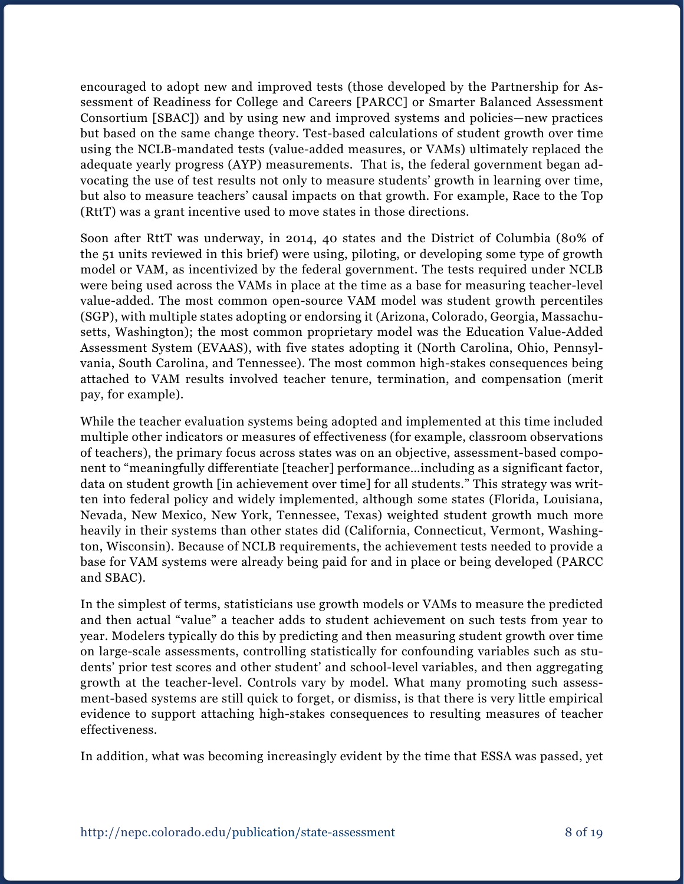encouraged to adopt new and improved tests (those developed by the Partnership for Assessment of Readiness for College and Careers [PARCC] or Smarter Balanced Assessment Consortium [SBAC]) and by using new and improved systems and policies—new practices but based on the same change theory. Test-based calculations of student growth over time using the NCLB-mandated tests (value-added measures, or VAMs) ultimately replaced the adequate yearly progress (AYP) measurements. That is, the federal government began advocating the use of test results not only to measure students' growth in learning over time, but also to measure teachers' causal impacts on that growth. For example, Race to the Top (RttT) was a grant incentive used to move states in those directions.

Soon after RttT was underway, in 2014, 40 states and the District of Columbia (80% of the 51 units reviewed in this brief) were using, piloting, or developing some type of growth model or VAM, as incentivized by the federal government. The tests required under NCLB were being used across the VAMs in place at the time as a base for measuring teacher-level value-added. The most common open-source VAM model was student growth percentiles (SGP), with multiple states adopting or endorsing it (Arizona, Colorado, Georgia, Massachusetts, Washington); the most common proprietary model was the Education Value-Added Assessment System (EVAAS), with five states adopting it (North Carolina, Ohio, Pennsylvania, South Carolina, and Tennessee). The most common high-stakes consequences being attached to VAM results involved teacher tenure, termination, and compensation (merit pay, for example).

While the teacher evaluation systems being adopted and implemented at this time included multiple other indicators or measures of effectiveness (for example, classroom observations of teachers), the primary focus across states was on an objective, assessment-based component to "meaningfully differentiate [teacher] performance…including as a significant factor, data on student growth [in achievement over time] for all students." This strategy was written into federal policy and widely implemented, although some states (Florida, Louisiana, Nevada, New Mexico, New York, Tennessee, Texas) weighted student growth much more heavily in their systems than other states did (California, Connecticut, Vermont, Washington, Wisconsin). Because of NCLB requirements, the achievement tests needed to provide a base for VAM systems were already being paid for and in place or being developed (PARCC and SBAC).

In the simplest of terms, statisticians use growth models or VAMs to measure the predicted and then actual "value" a teacher adds to student achievement on such tests from year to year. Modelers typically do this by predicting and then measuring student growth over time on large-scale assessments, controlling statistically for confounding variables such as students' prior test scores and other student' and school-level variables, and then aggregating growth at the teacher-level. Controls vary by model. What many promoting such assessment-based systems are still quick to forget, or dismiss, is that there is very little empirical evidence to support attaching high-stakes consequences to resulting measures of teacher effectiveness.

In addition, what was becoming increasingly evident by the time that ESSA was passed, yet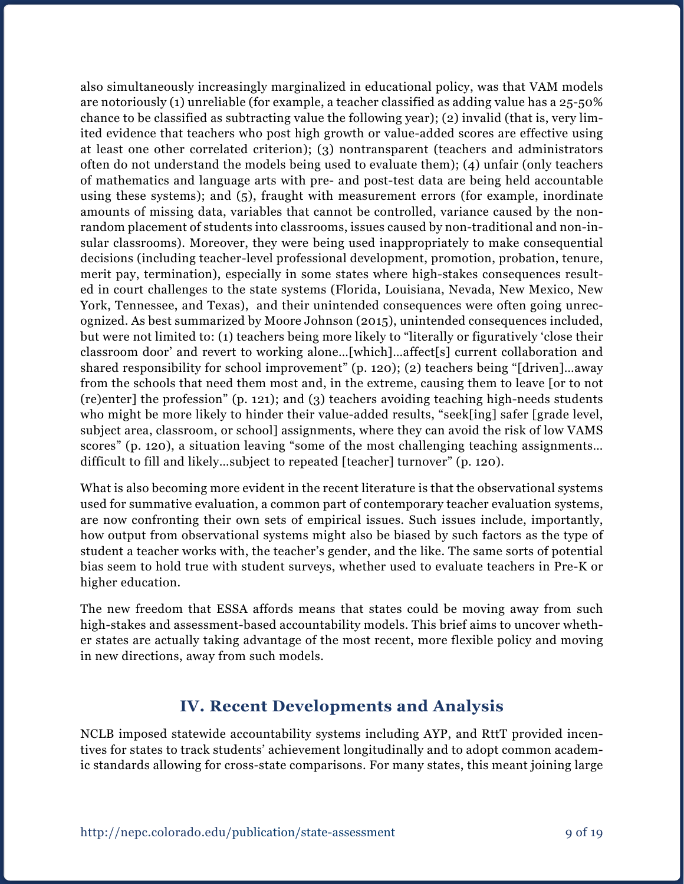also simultaneously increasingly marginalized in educational policy, was that VAM models are notoriously (1) unreliable (for example, a teacher classified as adding value has a 25-50% chance to be classified as subtracting value the following year); (2) invalid (that is, very limited evidence that teachers who post high growth or value-added scores are effective using at least one other correlated criterion); (3) nontransparent (teachers and administrators often do not understand the models being used to evaluate them); (4) unfair (only teachers of mathematics and language arts with pre- and post-test data are being held accountable using these systems); and (5), fraught with measurement errors (for example, inordinate amounts of missing data, variables that cannot be controlled, variance caused by the nonrandom placement of students into classrooms, issues caused by non-traditional and non-insular classrooms). Moreover, they were being used inappropriately to make consequential decisions (including teacher-level professional development, promotion, probation, tenure, merit pay, termination), especially in some states where high-stakes consequences resulted in court challenges to the state systems (Florida, Louisiana, Nevada, New Mexico, New York, Tennessee, and Texas), and their unintended consequences were often going unrecognized. As best summarized by Moore Johnson (2015), unintended consequences included, but were not limited to: (1) teachers being more likely to "literally or figuratively 'close their classroom door' and revert to working alone…[which]…affect[s] current collaboration and shared responsibility for school improvement" (p. 120); (2) teachers being "[driven]…away from the schools that need them most and, in the extreme, causing them to leave [or to not (re)enter] the profession" (p. 121); and (3) teachers avoiding teaching high-needs students who might be more likely to hinder their value-added results, "seek[ing] safer [grade level, subject area, classroom, or school] assignments, where they can avoid the risk of low VAMS scores" (p. 120), a situation leaving "some of the most challenging teaching assignments… difficult to fill and likely…subject to repeated [teacher] turnover" (p. 120).

What is also becoming more evident in the recent literature is that the observational systems used for summative evaluation, a common part of contemporary teacher evaluation systems, are now confronting their own sets of empirical issues. Such issues include, importantly, how output from observational systems might also be biased by such factors as the type of student a teacher works with, the teacher's gender, and the like. The same sorts of potential bias seem to hold true with student surveys, whether used to evaluate teachers in Pre-K or higher education.

The new freedom that ESSA affords means that states could be moving away from such high-stakes and assessment-based accountability models. This brief aims to uncover whether states are actually taking advantage of the most recent, more flexible policy and moving in new directions, away from such models.

## **IV. Recent Developments and Analysis**

NCLB imposed statewide accountability systems including AYP, and RttT provided incentives for states to track students' achievement longitudinally and to adopt common academic standards allowing for cross-state comparisons. For many states, this meant joining large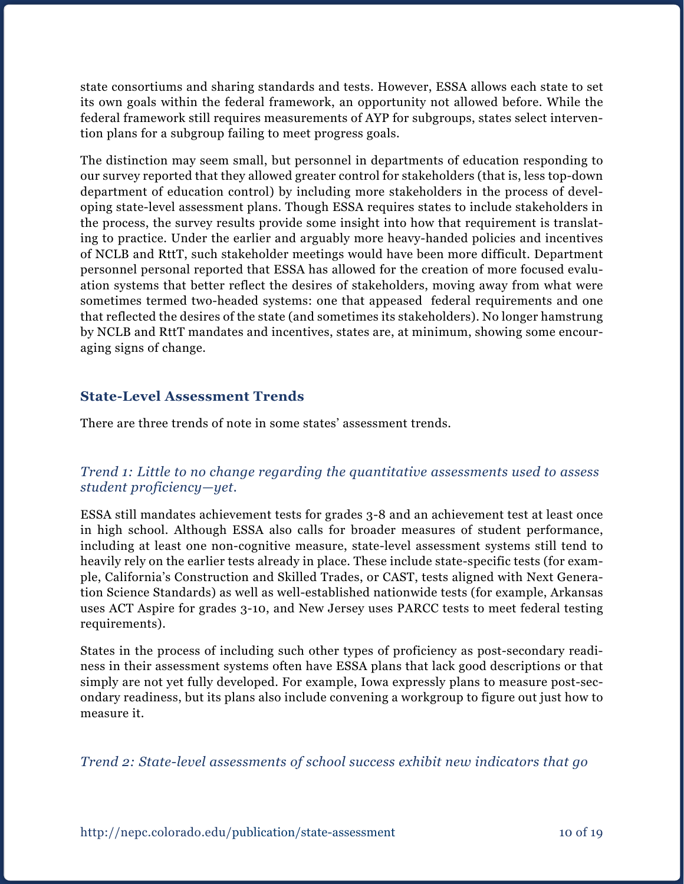state consortiums and sharing standards and tests. However, ESSA allows each state to set its own goals within the federal framework, an opportunity not allowed before. While the federal framework still requires measurements of AYP for subgroups, states select intervention plans for a subgroup failing to meet progress goals.

The distinction may seem small, but personnel in departments of education responding to our survey reported that they allowed greater control for stakeholders (that is, less top-down department of education control) by including more stakeholders in the process of developing state-level assessment plans. Though ESSA requires states to include stakeholders in the process, the survey results provide some insight into how that requirement is translating to practice. Under the earlier and arguably more heavy-handed policies and incentives of NCLB and RttT, such stakeholder meetings would have been more difficult. Department personnel personal reported that ESSA has allowed for the creation of more focused evaluation systems that better reflect the desires of stakeholders, moving away from what were sometimes termed two-headed systems: one that appeased federal requirements and one that reflected the desires of the state (and sometimes its stakeholders). No longer hamstrung by NCLB and RttT mandates and incentives, states are, at minimum, showing some encouraging signs of change.

#### **State-Level Assessment Trends**

There are three trends of note in some states' assessment trends.

#### *Trend 1: Little to no change regarding the quantitative assessments used to assess student proficiency—yet.*

ESSA still mandates achievement tests for grades 3-8 and an achievement test at least once in high school. Although ESSA also calls for broader measures of student performance, including at least one non-cognitive measure, state-level assessment systems still tend to heavily rely on the earlier tests already in place. These include state-specific tests (for example, California's Construction and Skilled Trades, or CAST, tests aligned with Next Generation Science Standards) as well as well-established nationwide tests (for example, Arkansas uses ACT Aspire for grades 3-10, and New Jersey uses PARCC tests to meet federal testing requirements).

States in the process of including such other types of proficiency as post-secondary readiness in their assessment systems often have ESSA plans that lack good descriptions or that simply are not yet fully developed. For example, Iowa expressly plans to measure post-secondary readiness, but its plans also include convening a workgroup to figure out just how to measure it.

*Trend 2: State-level assessments of school success exhibit new indicators that go*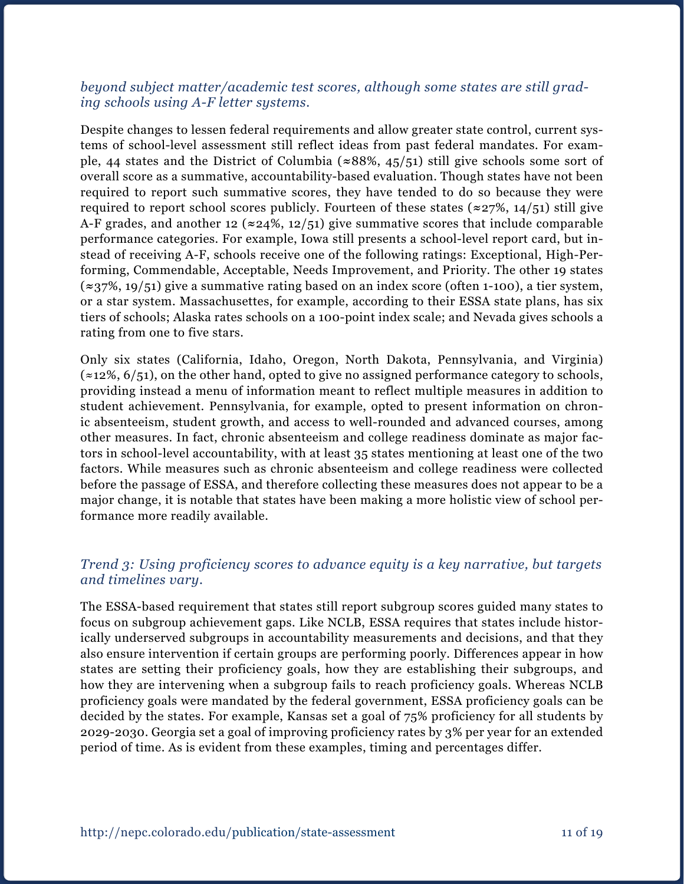#### *beyond subject matter/academic test scores, although some states are still grading schools using A-F letter systems.*

Despite changes to lessen federal requirements and allow greater state control, current systems of school-level assessment still reflect ideas from past federal mandates. For example, 44 states and the District of Columbia (**≈**88%, 45/51) still give schools some sort of overall score as a summative, accountability-based evaluation. Though states have not been required to report such summative scores, they have tended to do so because they were required to report school scores publicly. Fourteen of these states (**≈**27%, 14/51) still give A-F grades, and another 12 (**≈**24%, 12/51) give summative scores that include comparable performance categories. For example, Iowa still presents a school-level report card, but instead of receiving A-F, schools receive one of the following ratings: Exceptional, High-Performing, Commendable, Acceptable, Needs Improvement, and Priority. The other 19 states (**≈**37%, 19/51) give a summative rating based on an index score (often 1-100), a tier system, or a star system. Massachusettes, for example, according to their ESSA state plans, has six tiers of schools; Alaska rates schools on a 100-point index scale; and Nevada gives schools a rating from one to five stars.

Only six states (California, Idaho, Oregon, North Dakota, Pennsylvania, and Virginia)  $(z12\%, 6/51)$ , on the other hand, opted to give no assigned performance category to schools, providing instead a menu of information meant to reflect multiple measures in addition to student achievement. Pennsylvania, for example, opted to present information on chronic absenteeism, student growth, and access to well-rounded and advanced courses, among other measures. In fact, chronic absenteeism and college readiness dominate as major factors in school-level accountability, with at least 35 states mentioning at least one of the two factors. While measures such as chronic absenteeism and college readiness were collected before the passage of ESSA, and therefore collecting these measures does not appear to be a major change, it is notable that states have been making a more holistic view of school performance more readily available.

#### *Trend 3: Using proficiency scores to advance equity is a key narrative, but targets and timelines vary.*

The ESSA-based requirement that states still report subgroup scores guided many states to focus on subgroup achievement gaps. Like NCLB, ESSA requires that states include historically underserved subgroups in accountability measurements and decisions, and that they also ensure intervention if certain groups are performing poorly. Differences appear in how states are setting their proficiency goals, how they are establishing their subgroups, and how they are intervening when a subgroup fails to reach proficiency goals. Whereas NCLB proficiency goals were mandated by the federal government, ESSA proficiency goals can be decided by the states. For example, Kansas set a goal of 75% proficiency for all students by 2029-2030. Georgia set a goal of improving proficiency rates by 3% per year for an extended period of time. As is evident from these examples, timing and percentages differ.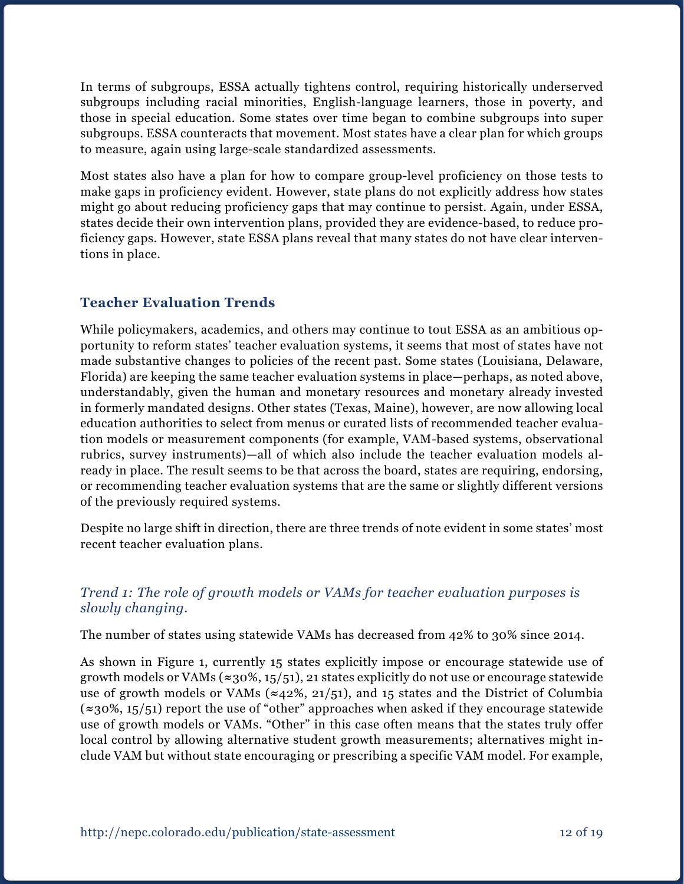In terms of subgroups, ESSA actually tightens control, requiring historically underserved subgroups including racial minorities, English-language learners, those in poverty, and those in special education. Some states over time began to combine subgroups into super subgroups. ESSA counteracts that movement. Most states have a clear plan for which groups to measure, again using large-scale standardized assessments.

Most states also have a plan for how to compare group-level proficiency on those tests to make gaps in proficiency evident. However, state plans do not explicitly address how states might go about reducing proficiency gaps that may continue to persist. Again, under ESSA, states decide their own intervention plans, provided they are evidence-based, to reduce proficiency gaps. However, state ESSA plans reveal that many states do not have clear interventions in place.

### **Teacher Evaluation Trends**

While policymakers, academics, and others may continue to tout ESSA as an ambitious opportunity to reform states' teacher evaluation systems, it seems that most of states have not made substantive changes to policies of the recent past. Some states (Louisiana, Delaware, Florida) are keeping the same teacher evaluation systems in place—perhaps, as noted above, understandably, given the human and monetary resources and monetary already invested in formerly mandated designs. Other states (Texas, Maine), however, are now allowing local education authorities to select from menus or curated lists of recommended teacher evaluation models or measurement components (for example, VAM-based systems, observational rubrics, survey instruments)—all of which also include the teacher evaluation models already in place. The result seems to be that across the board, states are requiring, endorsing, or recommending teacher evaluation systems that are the same or slightly different versions of the previously required systems.

Despite no large shift in direction, there are three trends of note evident in some states' most recent teacher evaluation plans.

#### *Trend 1: The role of growth models or VAMs for teacher evaluation purposes is slowly changing.*

The number of states using statewide VAMs has decreased from 42% to 30% since 2014.

As shown in Figure 1, currently 15 states explicitly impose or encourage statewide use of growth models or VAMs (**≈**30%, 15/51), 21 states explicitly do not use or encourage statewide use of growth models or VAMs (**≈**42%, 21/51), and 15 states and the District of Columbia (**≈**30%, 15/51) report the use of "other" approaches when asked if they encourage statewide use of growth models or VAMs. "Other" in this case often means that the states truly offer local control by allowing alternative student growth measurements; alternatives might include VAM but without state encouraging or prescribing a specific VAM model. For example,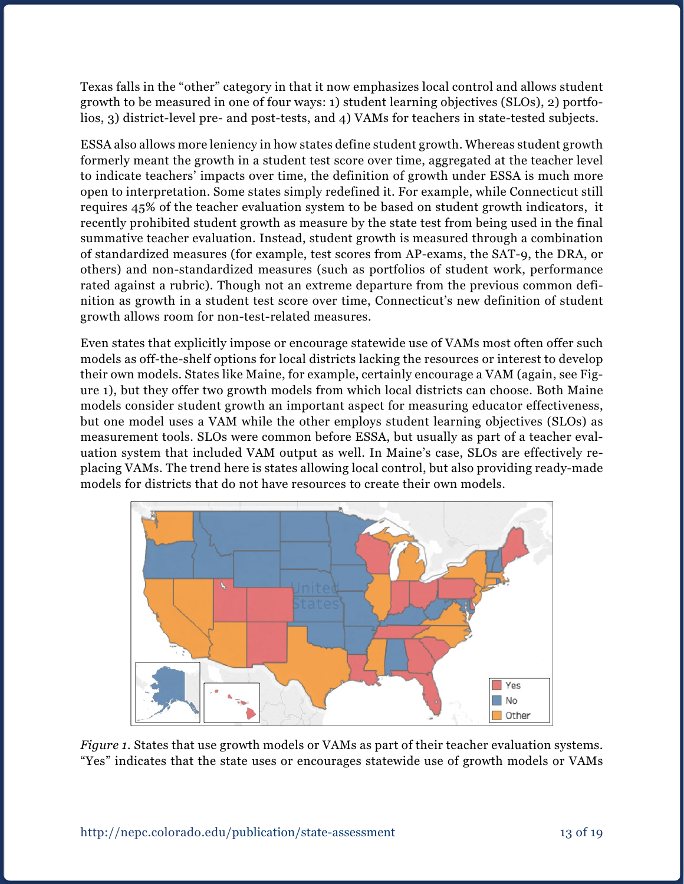Texas falls in the "other" category in that it now emphasizes local control and allows student growth to be measured in one of four ways: 1) student learning objectives (SLOs), 2) portfolios, 3) district-level pre- and post-tests, and 4) VAMs for teachers in state-tested subjects.

ESSA also allows more leniency in how states define student growth. Whereas student growth formerly meant the growth in a student test score over time, aggregated at the teacher level to indicate teachers' impacts over time, the definition of growth under ESSA is much more open to interpretation. Some states simply redefined it. For example, while Connecticut still requires 45% of the teacher evaluation system to be based on student growth indicators, it recently prohibited student growth as measure by the state test from being used in the final summative teacher evaluation. Instead, student growth is measured through a combination of standardized measures (for example, test scores from AP-exams, the SAT-9, the DRA, or others) and non-standardized measures (such as portfolios of student work, performance rated against a rubric). Though not an extreme departure from the previous common definition as growth in a student test score over time, Connecticut's new definition of student growth allows room for non-test-related measures.

Even states that explicitly impose or encourage statewide use of VAMs most often offer such models as off-the-shelf options for local districts lacking the resources or interest to develop their own models. States like Maine, for example, certainly encourage a VAM (again, see Figure 1), but they offer two growth models from which local districts can choose. Both Maine models consider student growth an important aspect for measuring educator effectiveness, but one model uses a VAM while the other employs student learning objectives (SLOs) as measurement tools. SLOs were common before ESSA, but usually as part of a teacher evaluation system that included VAM output as well. In Maine's case, SLOs are effectively replacing VAMs. The trend here is states allowing local control, but also providing ready-made models for districts that do not have resources to create their own models.



*Figure 1*. States that use growth models or VAMs as part of their teacher evaluation systems. "Yes" indicates that the state uses or encourages statewide use of growth models or VAMs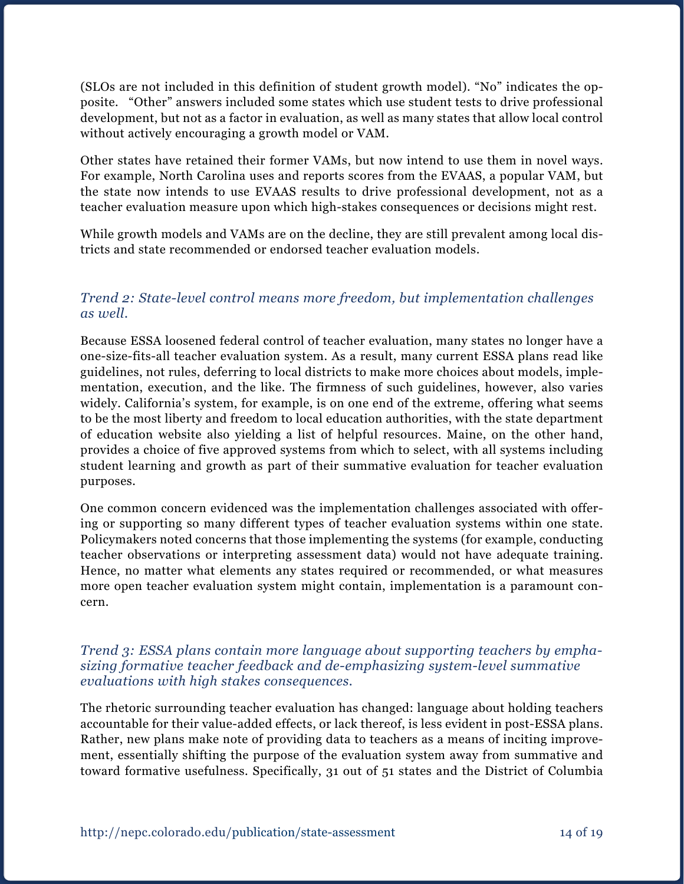(SLOs are not included in this definition of student growth model). "No" indicates the opposite. "Other" answers included some states which use student tests to drive professional development, but not as a factor in evaluation, as well as many states that allow local control without actively encouraging a growth model or VAM.

Other states have retained their former VAMs, but now intend to use them in novel ways. For example, North Carolina uses and reports scores from the EVAAS, a popular VAM, but the state now intends to use EVAAS results to drive professional development, not as a teacher evaluation measure upon which high-stakes consequences or decisions might rest.

While growth models and VAMs are on the decline, they are still prevalent among local districts and state recommended or endorsed teacher evaluation models.

#### *Trend 2: State-level control means more freedom, but implementation challenges as well.*

Because ESSA loosened federal control of teacher evaluation, many states no longer have a one-size-fits-all teacher evaluation system. As a result, many current ESSA plans read like guidelines, not rules, deferring to local districts to make more choices about models, implementation, execution, and the like. The firmness of such guidelines, however, also varies widely. California's system, for example, is on one end of the extreme, offering what seems to be the most liberty and freedom to local education authorities, with the state department of education website also yielding a list of helpful resources. Maine, on the other hand, provides a choice of five approved systems from which to select, with all systems including student learning and growth as part of their summative evaluation for teacher evaluation purposes.

One common concern evidenced was the implementation challenges associated with offering or supporting so many different types of teacher evaluation systems within one state. Policymakers noted concerns that those implementing the systems (for example, conducting teacher observations or interpreting assessment data) would not have adequate training. Hence, no matter what elements any states required or recommended, or what measures more open teacher evaluation system might contain, implementation is a paramount concern.

#### *Trend 3: ESSA plans contain more language about supporting teachers by emphasizing formative teacher feedback and de-emphasizing system-level summative evaluations with high stakes consequences.*

The rhetoric surrounding teacher evaluation has changed: language about holding teachers accountable for their value-added effects, or lack thereof, is less evident in post-ESSA plans. Rather, new plans make note of providing data to teachers as a means of inciting improvement, essentially shifting the purpose of the evaluation system away from summative and toward formative usefulness. Specifically, 31 out of 51 states and the District of Columbia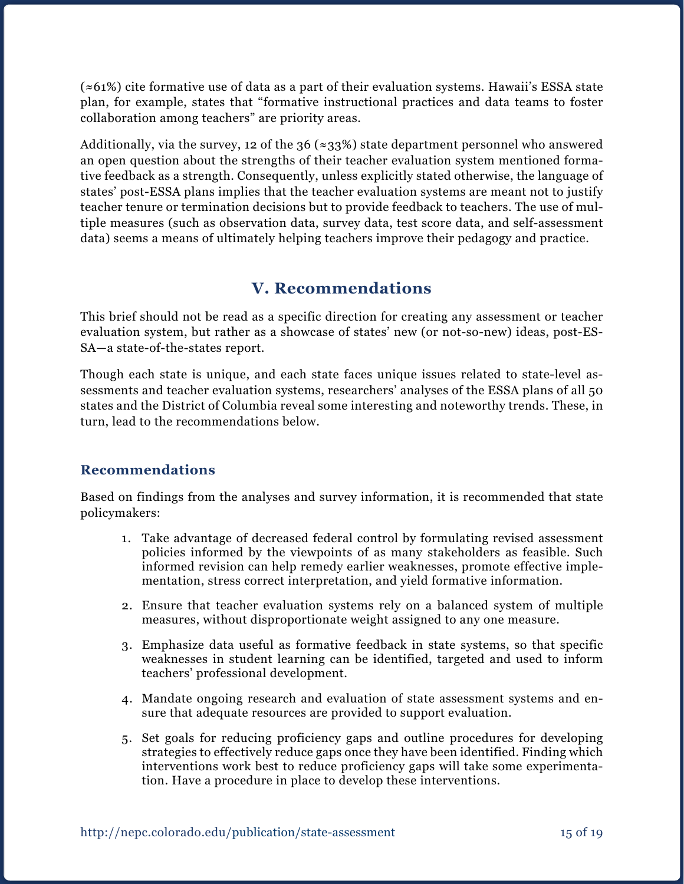(≈61%) cite formative use of data as a part of their evaluation systems. Hawaii's ESSA state plan, for example, states that "formative instructional practices and data teams to foster collaboration among teachers" are priority areas.

Additionally, via the survey, 12 of the 36 ( $\approx$ 33%) state department personnel who answered an open question about the strengths of their teacher evaluation system mentioned formative feedback as a strength. Consequently, unless explicitly stated otherwise, the language of states' post-ESSA plans implies that the teacher evaluation systems are meant not to justify teacher tenure or termination decisions but to provide feedback to teachers. The use of multiple measures (such as observation data, survey data, test score data, and self-assessment data) seems a means of ultimately helping teachers improve their pedagogy and practice.

## **V. Recommendations**

This brief should not be read as a specific direction for creating any assessment or teacher evaluation system, but rather as a showcase of states' new (or not-so-new) ideas, post-ES-SA—a state-of-the-states report.

Though each state is unique, and each state faces unique issues related to state-level assessments and teacher evaluation systems, researchers' analyses of the ESSA plans of all 50 states and the District of Columbia reveal some interesting and noteworthy trends. These, in turn, lead to the recommendations below.

### **Recommendations**

Based on findings from the analyses and survey information, it is recommended that state policymakers:

- 1. Take advantage of decreased federal control by formulating revised assessment policies informed by the viewpoints of as many stakeholders as feasible. Such informed revision can help remedy earlier weaknesses, promote effective implementation, stress correct interpretation, and yield formative information.
- 2. Ensure that teacher evaluation systems rely on a balanced system of multiple measures, without disproportionate weight assigned to any one measure.
- 3. Emphasize data useful as formative feedback in state systems, so that specific weaknesses in student learning can be identified, targeted and used to inform teachers' professional development.
- 4. Mandate ongoing research and evaluation of state assessment systems and ensure that adequate resources are provided to support evaluation.
- 5. Set goals for reducing proficiency gaps and outline procedures for developing strategies to effectively reduce gaps once they have been identified. Finding which interventions work best to reduce proficiency gaps will take some experimentation. Have a procedure in place to develop these interventions.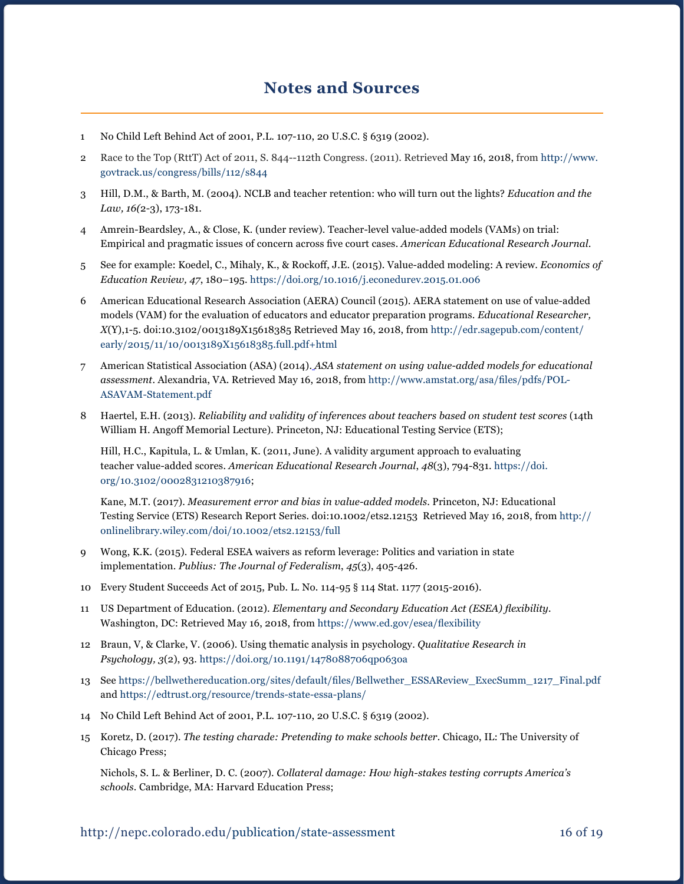### **Notes and Sources**

- 1 No Child Left Behind Act of 2001, P.L. 107-110, 20 U.S.C. § 6319 (2002).
- 2 Race to the Top (RttT) Act of 2011, S. 844--112th Congress. (2011). Retrieved May 16, 2018, from [http://www.](http://www.govtrack.us/congress/bills/112/s844) [govtrack.us/congress/bills/112/s844](http://www.govtrack.us/congress/bills/112/s844)
- 3 Hill, D.M., & Barth, M. (2004). NCLB and teacher retention: who will turn out the lights? *Education and the Law, 16(*2-3), 173-181.
- 4 Amrein-Beardsley, A., & Close, K. (under review). Teacher-level value-added models (VAMs) on trial: Empirical and pragmatic issues of concern across five court cases. *American Educational Research Journal*.
- 5 See for example: Koedel, C., Mihaly, K., & Rockoff, J.E. (2015). Value-added modeling: A review. *Economics of Education Review, 47*, 180–195. <https://doi.org/10.1016/j.econedurev.2015.01.006>
- 6 American Educational Research Association (AERA) Council (2015). AERA statement on use of value-added models (VAM) for the evaluation of educators and educator preparation programs. *Educational Researcher, X*(Y),1-5. doi:10.3102/0013189X15618385 Retrieved May 16, 2018, from [http://edr.sagepub.com/content/](http://edr.sagepub.com/content/early/2015/11/10/0013189X15618385.full.pdf+html) [early/2015/11/10/0013189X15618385.full.pdf+html](http://edr.sagepub.com/content/early/2015/11/10/0013189X15618385.full.pdf+html)
- 7 American Statistical Association (ASA) (2014)[.](http://vamboozled.com/wp-content/uploads/2014/03/ASA_VAM_Statement.pdf) *ASA statement on using value-added models for educational assessment*. Alexandria, VA. Retrieved May 16, 2018, from [http://www.amstat.org/asa/files/pdfs/POL-](http://www.amstat.org/asa/files/pdfs/POL-ASAVAM-Statement.pdf)[ASAVAM-Statement.pdf](http://www.amstat.org/asa/files/pdfs/POL-ASAVAM-Statement.pdf)
- 8 Haertel, E.H. (2013). *Reliability and validity of inferences about teachers based on student test scores* (14th William H. Angoff Memorial Lecture). Princeton, NJ: Educational Testing Service (ETS);

Hill, H.C., Kapitula, L. & Umlan, K. (2011, June). A validity argument approach to evaluating teacher value-added scores. *American Educational Research Journal*, *48*(3), 794-831. [https://doi.](https://doi.org/10.3102/0002831210387916) [org/10.3102/0002831210387916;](https://doi.org/10.3102/0002831210387916)

Kane, M.T. (2017). *Measurement error and bias in value-added models*. Princeton, NJ: Educational Testing Service (ETS) Research Report Series. doi:10.1002/ets2.12153 Retrieved May 16, 2018, from [http://](http://onlinelibrary.wiley.com/doi/10.1002/ets2.12153/full) [onlinelibrary.wiley.com/doi/10.1002/ets2.12153/full](http://onlinelibrary.wiley.com/doi/10.1002/ets2.12153/full)

- 9 Wong, K.K. (2015). Federal ESEA waivers as reform leverage: Politics and variation in state implementation. *Publius: The Journal of Federalism*, *45*(3), 405-426.
- 10 Every Student Succeeds Act of 2015, Pub. L. No. 114-95 § 114 Stat. 1177 (2015-2016).
- 11 US Department of Education. (2012). *Elementary and Secondary Education Act (ESEA) flexibility.* Washington, DC: Retrieved May 16, 2018, from <https://www.ed.gov/esea/flexibility>
- 12 Braun, V, & Clarke, V. (2006). Using thematic analysis in psychology. *Qualitative Research in Psychology, 3*(2), 93. https://doi.org[/10.1191/1478088706qp063oa](https://doi.org/10.1191/1478088706qp063oa)
- 13 See [https://bellwethereducation.org/sites/default/files/Bellwether\\_ESSAReview\\_ExecSumm\\_1217\\_Final.pdf](https://bellwethereducation.org/sites/default/files/Bellwether_ESSAReview_ExecSumm_1217_Final.pdf) and <https://edtrust.org/resource/trends-state-essa-plans/>
- 14 No Child Left Behind Act of 2001, P.L. 107-110, 20 U.S.C. § 6319 (2002).
- 15 Koretz, D. (2017). *The testing charade: Pretending to make schools better.* Chicago, IL: The University of Chicago Press;

Nichols, S. L. & Berliner, D. C. (2007). *Collateral damage: How high-stakes testing corrupts America's schools*. Cambridge, MA: Harvard Education Press;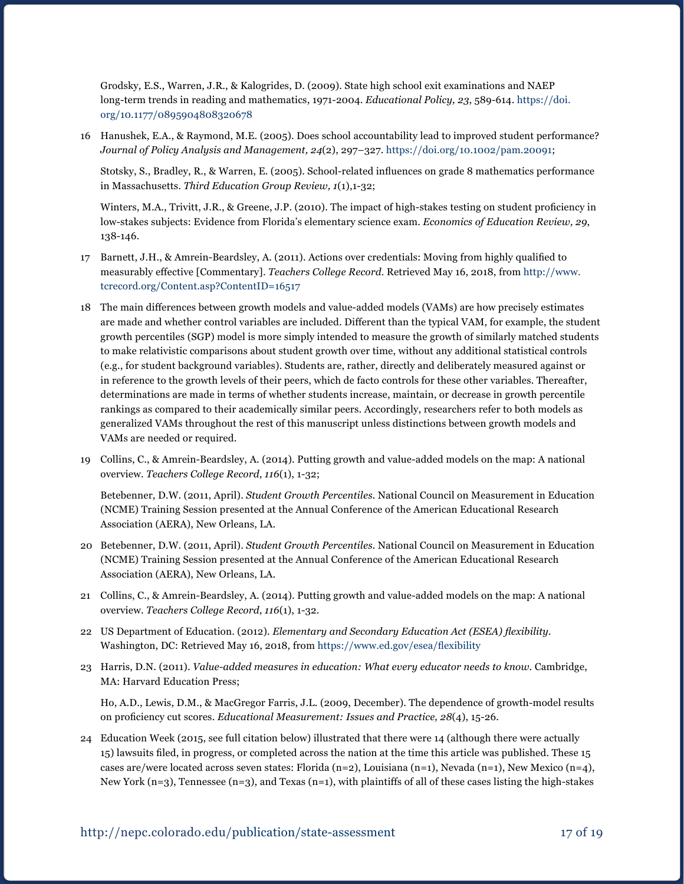Grodsky, E.S., Warren, J.R., & Kalogrides, D. (2009). State high school exit examinations and NAEP long-term trends in reading and mathematics, 1971-2004. *Educational Policy, 23*, 589-614. [https://doi.](https://doi.org/10.1177/0895904808320678) [org/10.1177/0895904808320678](https://doi.org/10.1177/0895904808320678)

16 Hanushek, E.A., & Raymond, M.E. (2005). Does school accountability lead to improved student performance? *Journal of Policy Analysis and Management, 24*(2), 297–327. <https://doi.org/10.1002/pam.20091>;

Stotsky, S., Bradley, R., & Warren, E. (2005). School-related influences on grade 8 mathematics performance in Massachusetts. *Third Education Group Review, 1*(1),1-32;

Winters, M.A., Trivitt, J.R., & Greene, J.P. (2010). The impact of high-stakes testing on student proficiency in low-stakes subjects: Evidence from Florida's elementary science exam. *Economics of Education Review, 29*, 138-146.

- 17 Barnett, J.H., & Amrein-Beardsley, A. (2011). Actions over credentials: Moving from highly qualified to measurably effective [Commentary]. *Teachers College Record.* Retrieved May 16, 2018, from [http://www.](http://www.tcrecord.org/Content.asp?ContentID=16517) [tcrecord.org/Content.asp?ContentID=16517](http://www.tcrecord.org/Content.asp?ContentID=16517)
- 18 The main differences between growth models and value-added models (VAMs) are how precisely estimates are made and whether control variables are included. Different than the typical VAM, for example, the student growth percentiles (SGP) model is more simply intended to measure the growth of similarly matched students to make relativistic comparisons about student growth over time, without any additional statistical controls (e.g., for student background variables). Students are, rather, directly and deliberately measured against or in reference to the growth levels of their peers, which de facto controls for these other variables. Thereafter, determinations are made in terms of whether students increase, maintain, or decrease in growth percentile rankings as compared to their academically similar peers. Accordingly, researchers refer to both models as generalized VAMs throughout the rest of this manuscript unless distinctions between growth models and VAMs are needed or required.
- 19 Collins, C., & Amrein-Beardsley, A. (2014). Putting growth and value-added models on the map: A national overview. *Teachers College Record*, *116*(1), 1-32;

Betebenner, D.W. (2011, April). *Student Growth Percentiles.* National Council on Measurement in Education (NCME) Training Session presented at the Annual Conference of the American Educational Research Association (AERA), New Orleans, LA.

- 20 Betebenner, D.W. (2011, April). *Student Growth Percentiles.* National Council on Measurement in Education (NCME) Training Session presented at the Annual Conference of the American Educational Research Association (AERA), New Orleans, LA.
- 21 Collins, C., & Amrein-Beardsley, A. (2014). Putting growth and value-added models on the map: A national overview. *Teachers College Record*, *116*(1), 1-32.
- 22 US Department of Education. (2012). *Elementary and Secondary Education Act (ESEA) flexibility.* Washington, DC: Retrieved May 16, 2018, from <https://www.ed.gov/esea/flexibility>
- 23 Harris, D.N. (2011). *Value-added measures in education: What every educator needs to know*. Cambridge, MA: Harvard Education Press;

Ho, A.D., Lewis, D.M., & MacGregor Farris, J.L. (2009, December). The dependence of growth-model results on proficiency cut scores. *Educational Measurement: Issues and Practice, 28*(4), 15-26.

24 Education Week (2015, see full citation below) illustrated that there were 14 (although there were actually 15) lawsuits filed, in progress, or completed across the nation at the time this article was published. These 15 cases are/were located across seven states: Florida  $(n=2)$ , Louisiana  $(n=1)$ , Nevada  $(n=1)$ , New Mexico  $(n=4)$ , New York (n=3), Tennessee (n=3), and Texas (n=1), with plaintiffs of all of these cases listing the high-stakes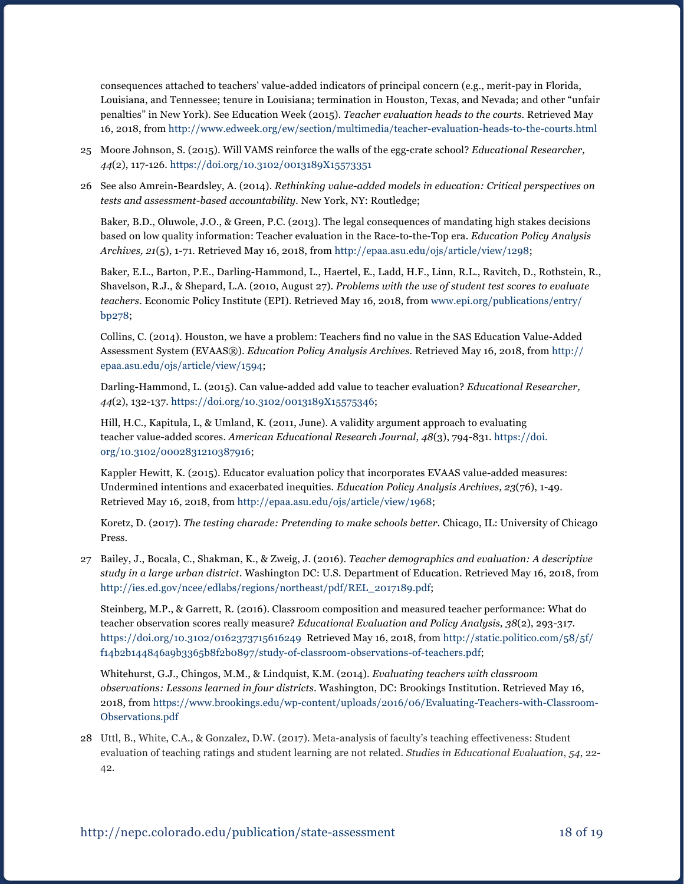consequences attached to teachers' value-added indicators of principal concern (e.g., merit-pay in Florida, Louisiana, and Tennessee; tenure in Louisiana; termination in Houston, Texas, and Nevada; and other "unfair penalties" in New York). See Education Week (2015). *Teacher evaluation heads to the courts.* Retrieved May 16, 2018, from <http://www.edweek.org/ew/section/multimedia/teacher-evaluation-heads-to-the-courts.html>

- 25 Moore Johnson, S. (2015). Will VAMS reinforce the walls of the egg-crate school? *Educational Researcher, 44*(2), 117-126.<https://doi.org/10.3102/0013189X15573351>
- 26 See also Amrein-Beardsley, A. (2014). *Rethinking value-added models in education: Critical perspectives on tests and assessment-based accountability.* New York, NY: Routledge;

Baker, B.D., Oluwole, J.O., & Green, P.C. (2013). The legal consequences of mandating high stakes decisions based on low quality information: Teacher evaluation in the Race-to-the-Top era. *Education Policy Analysis Archives, 21*(5), 1-71*.* Retrieved May 16, 2018, from [http://epaa.asu.edu/ojs/article/view/1298;](http://epaa.asu.edu/ojs/article/view/1298)

Baker, E.L., Barton, P.E., Darling-Hammond, L., Haertel, E., Ladd, H.F., Linn, R.L., Ravitch, D., Rothstein, R., Shavelson, R.J., & Shepard, L.A. (2010, August 27). *Problems with the use of student test scores to evaluate teachers*. Economic Policy Institute (EPI). Retrieved May 16, 2018, from www.epi.org/publications/entry/ bp278;

Collins, C. (2014). Houston, we have a problem: Teachers find no value in the SAS Education Value-Added Assessment System (EVAAS®). *Education Policy Analysis Archives.* Retrieved May 16, 2018, from [http://](http://epaa.asu.edu/ojs/article/view/1594) [epaa.asu.edu/ojs/article/view/1594](http://epaa.asu.edu/ojs/article/view/1594);

Darling-Hammond, L. (2015). Can value-added add value to teacher evaluation? *Educational Researcher, 44*(2), 132-137.<https://doi.org/10.3102/0013189X15575346>;

Hill, H.C., Kapitula, L, & Umland, K. (2011, June). A validity argument approach to evaluating teacher value-added scores. *American Educational Research Journal, 48*(3), 794-831. https://doi. org/[10.3102/0002831210387916;](https://doi.org/10.3102/0002831210387916)

Kappler Hewitt, K. (2015). Educator evaluation policy that incorporates EVAAS value-added measures: Undermined intentions and exacerbated inequities. *Education Policy Analysis Archives, 23*(76), 1-49. Retrieved May 16, 2018, from [http://epaa.asu.edu/ojs/article/view/1968;](http://epaa.asu.edu/ojs/article/view/1968)

Koretz, D. (2017). *The testing charade: Pretending to make schools better.* Chicago, IL: University of Chicago Press.

27 Bailey, J., Bocala, C., Shakman, K., & Zweig, J. (2016). *Teacher demographics and evaluation: A descriptive study in a large urban district.* Washington DC: U.S. Department of Education. Retrieved May 16, 2018, from [http://ies.ed.gov/ncee/edlabs/regions/northeast/pdf/REL\\_2017189.pdf](http://ies.ed.gov/ncee/edlabs/regions/northeast/pdf/REL_2017189.pdf);

Steinberg, M.P., & Garrett, R. (2016). Classroom composition and measured teacher performance: What do teacher observation scores really measure? *Educational Evaluation and Policy Analysis, 38*(2), 293-317. <https://doi.org/10.3102/0162373715616249> Retrieved May 16, 2018, from [http://static.politico.com/58/5f/](http://static.politico.com/58/5f/f14b2b144846a9b3365b8f2b0897/study-of-classroom-observations-of-teachers.pdf) [f14b2b144846a9b3365b8f2b0897/study-of-classroom-observations-of-teachers.pdf;](http://static.politico.com/58/5f/f14b2b144846a9b3365b8f2b0897/study-of-classroom-observations-of-teachers.pdf)

Whitehurst, G.J., Chingos, M.M., & Lindquist, K.M. (2014). *Evaluating teachers with classroom observations: Lessons learned in four districts.* Washington, DC: Brookings Institution. Retrieved May 16, 2018, from [https://www.brookings.edu/wp-content/uploads/2016/06/Evaluating-Teachers-with-Classroom-](https://www.brookings.edu/wp-content/uploads/2016/06/Evaluating-Teachers-with-Classroom-Observations.pdf)[Observations.pdf](https://www.brookings.edu/wp-content/uploads/2016/06/Evaluating-Teachers-with-Classroom-Observations.pdf)

28 Uttl, B., White, C.A., & Gonzalez, D.W. (2017). Meta-analysis of faculty's teaching effectiveness: Student evaluation of teaching ratings and student learning are not related. *Studies in Educational Evaluation*, *54*, 22- 42.